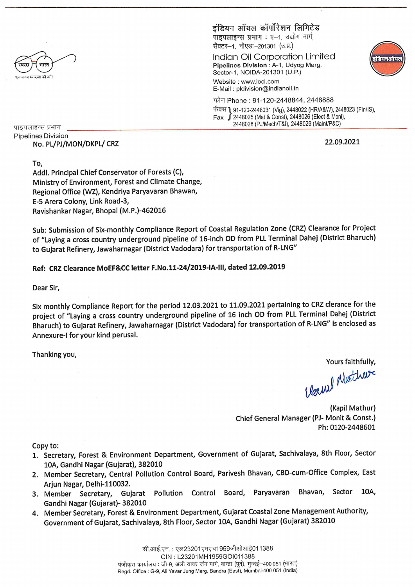

इंडियन ऑयल कॉर्पोरेशन लिभिटेड पाइपलाइन्स प्रभाग : ए-1, उद्योग मार्ग,

सैक्टर-1, नौएडा-201301 (उ.प्र.)

Indian Oil Corporation Limited Pipelines Division : A-1, Udyog Marg, Sector-1, NOIDA-201301 (U.P.)

Website: www.iocl.com E-Mail: pldivision@indianoil.in

फोन Phone: 91-120-2448844, 2448888

फेक्स 1 91-120-2448031 (Vig), 2448022 (HR/A&W), 2448023 (Fin/IS),  $Fax$   $\int$ 2448025 (Mat & Const), 2448026 (Elect & Moni), 2448028 (PJ/Mech/T&I), 2448029 (Maint/P&C)

पाइपलाइन्स प्रभाग **Pipelines Division** No. PL/PJ/MON/DKPL/ CRZ

22.09.2021

त्वियनअ

To, Addl. Principal Chief Conservator of Forests (C), Ministry of Environment, Forest and Climate Change, Regional Office (WZ), Kendriya Paryavaran Bhawan, E-5 Arera Colony, Link Road-3, Ravishankar Nagar, Bhopal (M.P.)-462016

Sub: Submission of Six-monthly Compliance Report of Coastal Regulation Zone (CRZ) Clearance for Project of "Laying a cross country underground pipeline of 16-inch OD from PLL Terminal Dahej (District Bharuch) to Gujarat Refinery, Jawaharnagar (District Vadodara) for transportation of R-LNG"

#### Ref: CRZ Clearance MoEF&CC letter F.No.11-24/2019-IA-III, dated 12.09.2019

Dear Sir,

Six monthly Compliance Report for the period 12.03.2021 to 11.09.2021 pertaining to CRZ clerance for the project of "Laying a cross country underground pipeline of 16 inch OD from PLL Terminal Dahej (District Bharuch) to Gujarat Refinery, Jawaharnagar (District Vadodara) for transportation of R-LNG" is enclosed as Annexure-I for your kind perusal.

Thanking you,

Yours faithfully.

Cloud Mather

(Kapil Mathur) Chief General Manager (PJ- Monit & Const.) Ph: 0120-2448601

Copy to:

- 1. Secretary, Forest & Environment Department, Government of Gujarat, Sachivalaya, 8th Floor, Sector 10A, Gandhi Nagar (Gujarat), 382010
- 2. Member Secretary, Central Pollution Control Board, Parivesh Bhavan, CBD-cum-Office Complex, East Arjun Nagar, Delhi-110032.
- Gujarat Pollution Control Board, Bhavan, Sector 10A, Paryavaran 3. Member Secretary, Gandhi Nagar (Gujarat)- 382010
- 4. Member Secretary, Forest & Environment Department, Gujarat Coastal Zone Management Authority, Government of Gujarat, Sachivalaya, 8th Floor, Sector 10A, Gandhi Nagar (Gujarat) 382010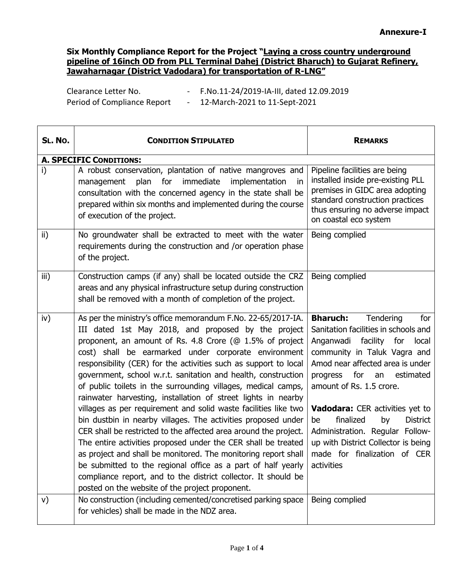Period of Compliance Report - 12-March-2021 to 11-Sept-2021

Clearance Letter No. - F.No.11-24/2019-IA-III, dated 12.09.2019

| SL. No. | <b>CONDITION STIPULATED</b>                                                                                                                                                                                                                                                                                                                                                                                                                                                                                                                                                                                                                                                                                                                                                                                                                                                                                                                                                                                                                    | <b>REMARKS</b>                                                                                                                                                                                                                                                                                                                                                                                                                                              |
|---------|------------------------------------------------------------------------------------------------------------------------------------------------------------------------------------------------------------------------------------------------------------------------------------------------------------------------------------------------------------------------------------------------------------------------------------------------------------------------------------------------------------------------------------------------------------------------------------------------------------------------------------------------------------------------------------------------------------------------------------------------------------------------------------------------------------------------------------------------------------------------------------------------------------------------------------------------------------------------------------------------------------------------------------------------|-------------------------------------------------------------------------------------------------------------------------------------------------------------------------------------------------------------------------------------------------------------------------------------------------------------------------------------------------------------------------------------------------------------------------------------------------------------|
|         | <b>A. SPECIFIC CONDITIONS:</b>                                                                                                                                                                                                                                                                                                                                                                                                                                                                                                                                                                                                                                                                                                                                                                                                                                                                                                                                                                                                                 |                                                                                                                                                                                                                                                                                                                                                                                                                                                             |
| i)      | A robust conservation, plantation of native mangroves and<br>immediate<br>implementation<br>plan<br>for<br>management<br>in<br>consultation with the concerned agency in the state shall be<br>prepared within six months and implemented during the course<br>of execution of the project.                                                                                                                                                                                                                                                                                                                                                                                                                                                                                                                                                                                                                                                                                                                                                    | Pipeline facilities are being<br>installed inside pre-existing PLL<br>premises in GIDC area adopting<br>standard construction practices<br>thus ensuring no adverse impact<br>on coastal eco system                                                                                                                                                                                                                                                         |
| ii)     | No groundwater shall be extracted to meet with the water<br>requirements during the construction and /or operation phase<br>of the project.                                                                                                                                                                                                                                                                                                                                                                                                                                                                                                                                                                                                                                                                                                                                                                                                                                                                                                    | Being complied                                                                                                                                                                                                                                                                                                                                                                                                                                              |
| iii)    | Construction camps (if any) shall be located outside the CRZ<br>areas and any physical infrastructure setup during construction<br>shall be removed with a month of completion of the project.                                                                                                                                                                                                                                                                                                                                                                                                                                                                                                                                                                                                                                                                                                                                                                                                                                                 | Being complied                                                                                                                                                                                                                                                                                                                                                                                                                                              |
| iv)     | As per the ministry's office memorandum F.No. 22-65/2017-IA.<br>III dated 1st May 2018, and proposed by the project<br>proponent, an amount of Rs. 4.8 Crore (@ 1.5% of project<br>cost) shall be earmarked under corporate environment<br>responsibility (CER) for the activities such as support to local<br>government, school w.r.t. sanitation and health, construction<br>of public toilets in the surrounding villages, medical camps,<br>rainwater harvesting, installation of street lights in nearby<br>villages as per requirement and solid waste facilities like two<br>bin dustbin in nearby villages. The activities proposed under<br>CER shall be restricted to the affected area around the project.<br>The entire activities proposed under the CER shall be treated<br>as project and shall be monitored. The monitoring report shall<br>be submitted to the regional office as a part of half yearly<br>compliance report, and to the district collector. It should be<br>posted on the website of the project proponent. | <b>Bharuch:</b><br>Tendering<br>for<br>Sanitation facilities in schools and<br>Anganwadi facility for<br>local<br>community in Taluk Vagra and<br>Amod near affected area is under<br>for<br>estimated<br>progress<br>an<br>amount of Rs. 1.5 crore.<br>Vadodara: CER activities yet to<br>finalized<br><b>District</b><br>by<br>be<br>Administration. Regular Follow-<br>up with District Collector is being<br>made for finalization of CER<br>activities |
| V)      | No construction (including cemented/concretised parking space<br>for vehicles) shall be made in the NDZ area.                                                                                                                                                                                                                                                                                                                                                                                                                                                                                                                                                                                                                                                                                                                                                                                                                                                                                                                                  | Being complied                                                                                                                                                                                                                                                                                                                                                                                                                                              |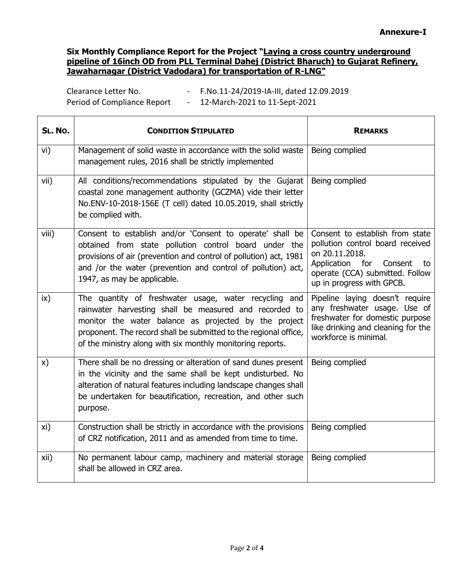Clearance Letter No. - F.No.11-24/2019-IA-III, dated 12.09.2019 Period of Compliance Report - 12-March-2021 to 11-Sept-2021

| SL. No. | <b>CONDITION STIPULATED</b>                                                                                                                                                                                                                                                                                | <b>REMARKS</b>                                                                                                                                                                            |
|---------|------------------------------------------------------------------------------------------------------------------------------------------------------------------------------------------------------------------------------------------------------------------------------------------------------------|-------------------------------------------------------------------------------------------------------------------------------------------------------------------------------------------|
| vi)     | Management of solid waste in accordance with the solid waste<br>management rules, 2016 shall be strictly implemented                                                                                                                                                                                       | Being complied                                                                                                                                                                            |
| vii)    | All conditions/recommendations stipulated by the Gujarat<br>coastal zone management authority (GCZMA) vide their letter<br>No.ENV-10-2018-156E (T cell) dated 10.05.2019, shall strictly<br>be complied with.                                                                                              | Being complied                                                                                                                                                                            |
| viii)   | Consent to establish and/or 'Consent to operate' shall be<br>obtained from state pollution control board under the<br>provisions of air (prevention and control of pollution) act, 1981<br>and /or the water (prevention and control of pollution) act,<br>1947, as may be applicable.                     | Consent to establish from state<br>pollution control board received<br>on 20.11.2018.<br>Application for<br>Consent<br>to<br>operate (CCA) submitted. Follow<br>up in progress with GPCB. |
| ix)     | The quantity of freshwater usage, water recycling and<br>rainwater harvesting shall be measured and recorded to<br>monitor the water balance as projected by the project<br>proponent. The record shall be submitted to the regional office,<br>of the ministry along with six monthly monitoring reports. | Pipeline laying doesn't require<br>any freshwater usage. Use of<br>freshwater for domestic purpose<br>like drinking and cleaning for the<br>workforce is minimal.                         |
| x)      | There shall be no dressing or alteration of sand dunes present<br>in the vicinity and the same shall be kept undisturbed. No<br>alteration of natural features including landscape changes shall<br>be undertaken for beautification, recreation, and other such<br>purpose.                               | Being complied                                                                                                                                                                            |
| xi)     | Construction shall be strictly in accordance with the provisions<br>of CRZ notification, 2011 and as amended from time to time.                                                                                                                                                                            | Being complied                                                                                                                                                                            |
| xii)    | No permanent labour camp, machinery and material storage<br>shall be allowed in CRZ area.                                                                                                                                                                                                                  | Being complied                                                                                                                                                                            |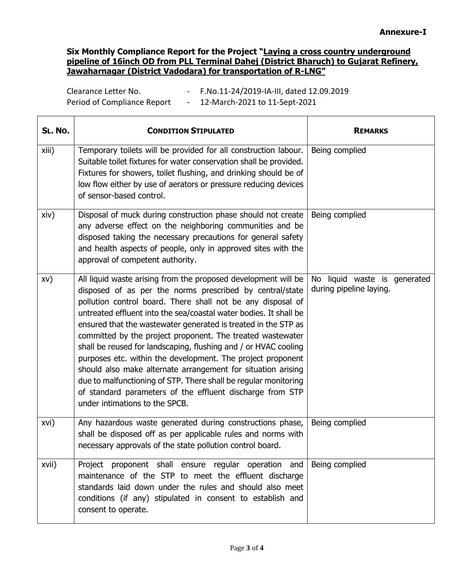Clearance Letter No. - F.No.11-24/2019-IA-III, dated 12.09.2019 Period of Compliance Report - 12-March-2021 to 11-Sept-2021

| SL. No. | <b>CONDITION STIPULATED</b>                                                                                                                                                                                                                                                                                                                                                                                                                                                                                                                                                                                                                                                                                                                                        | <b>REMARKS</b>                                          |
|---------|--------------------------------------------------------------------------------------------------------------------------------------------------------------------------------------------------------------------------------------------------------------------------------------------------------------------------------------------------------------------------------------------------------------------------------------------------------------------------------------------------------------------------------------------------------------------------------------------------------------------------------------------------------------------------------------------------------------------------------------------------------------------|---------------------------------------------------------|
| xiii)   | Temporary toilets will be provided for all construction labour.<br>Suitable toilet fixtures for water conservation shall be provided.<br>Fixtures for showers, toilet flushing, and drinking should be of<br>low flow either by use of aerators or pressure reducing devices<br>of sensor-based control.                                                                                                                                                                                                                                                                                                                                                                                                                                                           | Being complied                                          |
| xiv)    | Disposal of muck during construction phase should not create<br>any adverse effect on the neighboring communities and be<br>disposed taking the necessary precautions for general safety<br>and health aspects of people, only in approved sites with the<br>approval of competent authority.                                                                                                                                                                                                                                                                                                                                                                                                                                                                      | Being complied                                          |
| XV)     | All liquid waste arising from the proposed development will be<br>disposed of as per the norms prescribed by central/state<br>pollution control board. There shall not be any disposal of<br>untreated effluent into the sea/coastal water bodies. It shall be<br>ensured that the wastewater generated is treated in the STP as<br>committed by the project proponent. The treated wastewater<br>shall be reused for landscaping, flushing and / or HVAC cooling<br>purposes etc. within the development. The project proponent<br>should also make alternate arrangement for situation arising<br>due to malfunctioning of STP. There shall be regular monitoring<br>of standard parameters of the effluent discharge from STP<br>under intimations to the SPCB. | No liquid waste is generated<br>during pipeline laying. |
| xvi)    | Any hazardous waste generated during constructions phase,<br>shall be disposed off as per applicable rules and norms with<br>necessary approvals of the state pollution control board.                                                                                                                                                                                                                                                                                                                                                                                                                                                                                                                                                                             | Being complied                                          |
| xvii)   | Project proponent shall ensure regular operation and<br>maintenance of the STP to meet the effluent discharge<br>standards laid down under the rules and should also meet<br>conditions (if any) stipulated in consent to establish and<br>consent to operate.                                                                                                                                                                                                                                                                                                                                                                                                                                                                                                     | Being complied                                          |